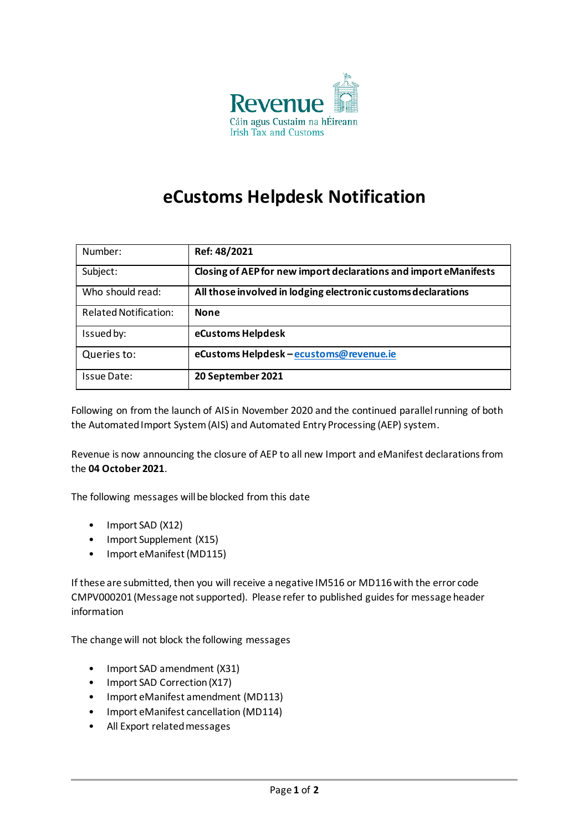

## **eCustoms Helpdesk Notification**

| Number:                      | Ref: 48/2021                                                     |
|------------------------------|------------------------------------------------------------------|
| Subject:                     | Closing of AEP for new import declarations and import eManifests |
| Who should read:             | All those involved in lodging electronic customs declarations    |
| <b>Related Notification:</b> | <b>None</b>                                                      |
| Issued by:                   | eCustoms Helpdesk                                                |
| Queries to:                  | eCustoms Helpdesk - ecustoms@revenue.ie                          |
| Issue Date:                  | 20 September 2021                                                |

Following on from the launch of AIS in November 2020 and the continued parallel running of both the Automated Import System (AIS) and Automated Entry Processing (AEP) system.

Revenue is now announcing the closure of AEP to all new Import and eManifest declarations from the **04 October 2021**.

The following messages will be blocked from this date

- Import SAD (X12)
- Import Supplement (X15)
- Import eManifest (MD115)

If these are submitted, then you will receive a negative IM516 or MD116 with the error code CMPV000201 (Message not supported). Please refer to published guides for message header information

The change will not block the following messages

- Import SAD amendment (X31)
- Import SAD Correction (X17)
- Import eManifest amendment (MD113)
- Import eManifest cancellation (MD114)
- All Export related messages